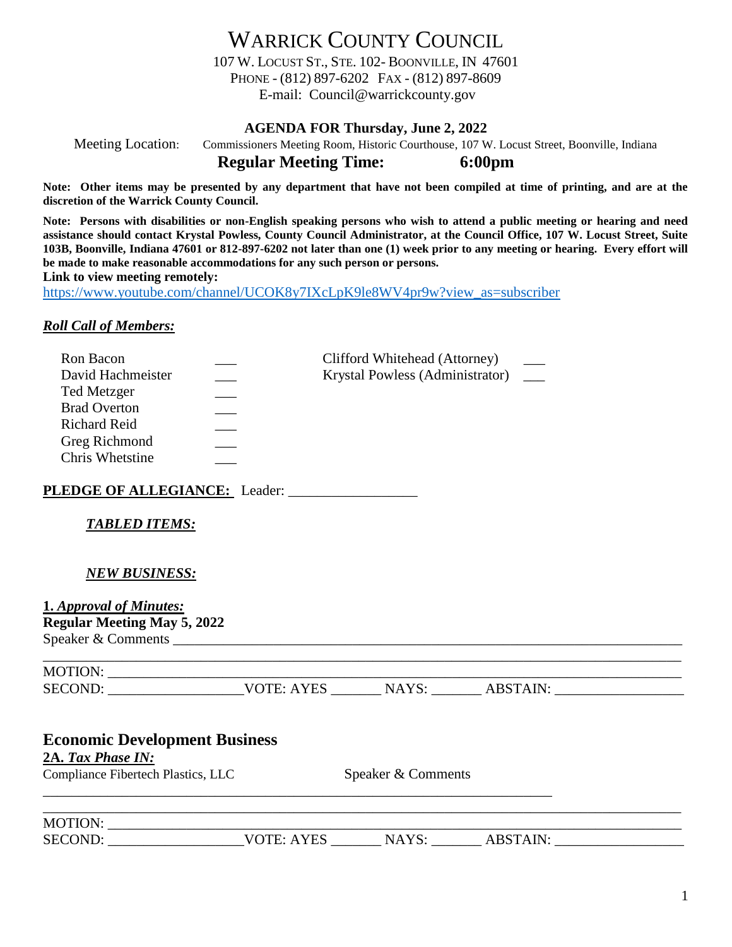WARRICK COUNTY COUNCIL 107 W. LOCUST ST., STE. 102- BOONVILLE, IN 47601 PHONE - (812) 897-6202 FAX - (812) 897-8609 E-mail: Council@warrickcounty.gov

#### **AGENDA FOR Thursday, June 2, 2022**

Meeting Location: Commissioners Meeting Room, Historic Courthouse, 107 W. Locust Street, Boonville, Indiana **Regular Meeting Time: 6:00pm**

**Note: Other items may be presented by any department that have not been compiled at time of printing, and are at the discretion of the Warrick County Council.**

**Note: Persons with disabilities or non-English speaking persons who wish to attend a public meeting or hearing and need assistance should contact Krystal Powless, County Council Administrator, at the Council Office, 107 W. Locust Street, Suite 103B, Boonville, Indiana 47601 or 812-897-6202 not later than one (1) week prior to any meeting or hearing. Every effort will be made to make reasonable accommodations for any such person or persons.**

**Link to view meeting remotely:** 

[https://www.youtube.com/channel/UCOK8y7IXcLpK9le8WV4pr9w?view\\_as=subscriber](https://www.youtube.com/channel/UCOK8y7IXcLpK9le8WV4pr9w?view_as=subscriber)

#### *Roll Call of Members:*

| Ron Bacon           | Clifford Whitehead (Attorney)   |  |
|---------------------|---------------------------------|--|
| David Hachmeister   | Krystal Powless (Administrator) |  |
| <b>Ted Metzger</b>  |                                 |  |
| <b>Brad Overton</b> |                                 |  |
| <b>Richard Reid</b> |                                 |  |
| Greg Richmond       |                                 |  |
| Chris Whetstine     |                                 |  |

**PLEDGE OF ALLEGIANCE:** Leader: \_\_\_\_\_\_\_\_\_\_\_\_\_\_\_\_\_\_

### *TABLED ITEMS:*

### *NEW BUSINESS:*

**1.** *Approval of Minutes:* **Regular Meeting May 5, 2022** Speaker & Comments

| <b>MOTION:</b> |             |                |      |  |
|----------------|-------------|----------------|------|--|
| SECOND:        | VOTE· A VES | N<br>$\Lambda$ | TAIN |  |

| <b>Economic Development Business</b><br>2A. Tax Phase IN:<br>Compliance Fibertech Plastics, LLC |            | Speaker & Comments |          |  |
|-------------------------------------------------------------------------------------------------|------------|--------------------|----------|--|
| MOTION:<br>SECOND:                                                                              | VOTE: AYES | NAYS:              | ABSTAIN: |  |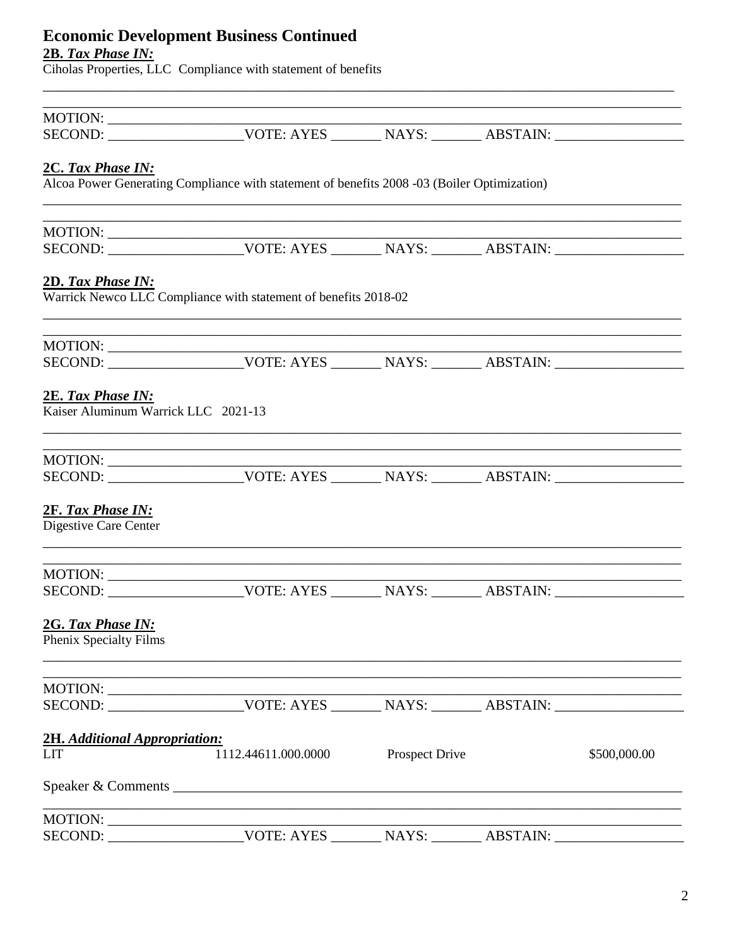# **Economic Development Business Continued**

**2B. Tax Phase IN:**<br>Ciholas Properties, LLC Compliance with statement of benefits

| MOTION:                                                  |                                                                                                                         |                       |              |
|----------------------------------------------------------|-------------------------------------------------------------------------------------------------------------------------|-----------------------|--------------|
|                                                          | SECOND: __________________________VOTE: AYES __________ NAYS: _________ ABSTAIN: __________________                     |                       |              |
|                                                          |                                                                                                                         |                       |              |
| 2C. Tax Phase IN:                                        |                                                                                                                         |                       |              |
|                                                          | Alcoa Power Generating Compliance with statement of benefits 2008 -03 (Boiler Optimization)                             |                       |              |
|                                                          | ,我们也不会有什么。""我们的人,我们也不会有什么?""我们的人,我们也不会有什么?""我们的人,我们也不会有什么?""我们的人,我们也不会有什么?""我们的人                                        |                       |              |
|                                                          |                                                                                                                         |                       |              |
| 2D. Tax Phase IN:                                        |                                                                                                                         |                       |              |
|                                                          | Warrick Newco LLC Compliance with statement of benefits 2018-02                                                         |                       |              |
| MOTION: $\frac{1}{1}$                                    |                                                                                                                         |                       |              |
|                                                          | SECOND: __________________________VOTE: AYES __________ NAYS: _________ ABSTAIN: __________________                     |                       |              |
| 2E. Tax Phase IN:<br>Kaiser Aluminum Warrick LLC 2021-13 |                                                                                                                         |                       |              |
|                                                          | <u> 1989 - Johann Harry Harry Harry Harry Harry Harry Harry Harry Harry Harry Harry Harry Harry Harry Harry Harry H</u> |                       |              |
|                                                          | SECOND: __________________________VOTE: AYES __________ NAYS: _________ ABSTAIN: __________________                     |                       |              |
| 2F. Tax Phase IN:<br>Digestive Care Center               |                                                                                                                         |                       |              |
|                                                          | and the control of the control of the control of the control of the control of the control of the control of the        |                       |              |
|                                                          |                                                                                                                         |                       |              |
| 2G. Tax Phase IN:<br>Phenix Specialty Films              | ,我们也不能在这里,我们也不能在这里,我们也不能会在这里,我们也不能会在这里,我们也不能会在这里,我们也不能会在这里,我们也不能会在这里,我们也不能会不能会在这里                                       |                       |              |
|                                                          | and the control of the control of the control of the control of the control of the control of the control of the        |                       |              |
|                                                          |                                                                                                                         |                       |              |
| 2H. Additional Appropriation:                            |                                                                                                                         |                       |              |
| <b>LIT</b>                                               | 1112.44611.000.0000                                                                                                     | <b>Prospect Drive</b> | \$500,000.00 |
|                                                          |                                                                                                                         |                       |              |
|                                                          |                                                                                                                         |                       |              |
|                                                          |                                                                                                                         |                       |              |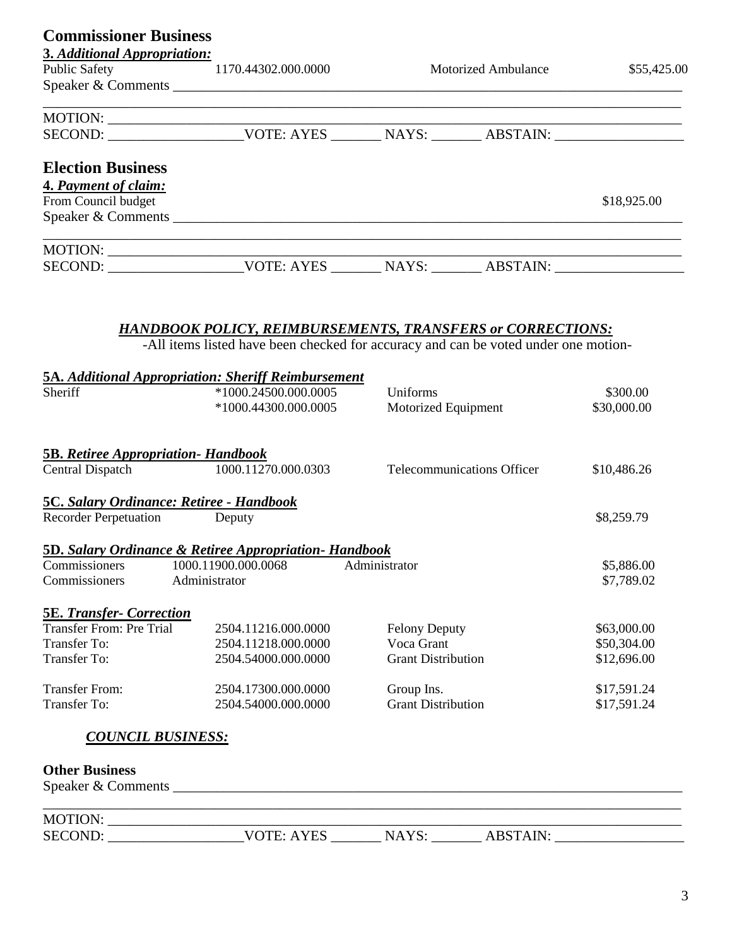| <b>Commissioner Business</b>                    |                                                                                                                                                          |                            |                                           |
|-------------------------------------------------|----------------------------------------------------------------------------------------------------------------------------------------------------------|----------------------------|-------------------------------------------|
| 3. Additional Appropriation:                    |                                                                                                                                                          |                            |                                           |
| Public Safety 1170.44302.000.0000               |                                                                                                                                                          |                            | <b>Motorized Ambulance</b><br>\$55,425.00 |
|                                                 | Speaker & Comments                                                                                                                                       |                            |                                           |
|                                                 |                                                                                                                                                          |                            |                                           |
|                                                 |                                                                                                                                                          |                            |                                           |
| <b>Election Business</b>                        |                                                                                                                                                          |                            |                                           |
| 4. Payment of claim:                            |                                                                                                                                                          |                            |                                           |
| From Council budget                             |                                                                                                                                                          |                            | \$18,925.00                               |
|                                                 |                                                                                                                                                          |                            |                                           |
|                                                 |                                                                                                                                                          |                            |                                           |
|                                                 |                                                                                                                                                          |                            |                                           |
|                                                 |                                                                                                                                                          |                            |                                           |
|                                                 |                                                                                                                                                          |                            |                                           |
|                                                 | <b>HANDBOOK POLICY, REIMBURSEMENTS, TRANSFERS or CORRECTIONS:</b><br>-All items listed have been checked for accuracy and can be voted under one motion- |                            |                                           |
|                                                 |                                                                                                                                                          |                            |                                           |
|                                                 | 5A. Additional Appropriation: Sheriff Reimbursement                                                                                                      |                            |                                           |
| Sheriff                                         | $*1000.24500.000.0005$                                                                                                                                   | Uniforms                   | \$300.00                                  |
|                                                 | *1000.44300.000.0005                                                                                                                                     | Motorized Equipment        | \$30,000.00                               |
| <b>5B.</b> Retiree Appropriation - Handbook     |                                                                                                                                                          |                            |                                           |
|                                                 | Central Dispatch 1000.11270.000.0303                                                                                                                     | Telecommunications Officer | \$10,486.26                               |
| <b>5C. Salary Ordinance: Retiree - Handbook</b> |                                                                                                                                                          |                            |                                           |
| Recorder Perpetuation Deputy                    |                                                                                                                                                          |                            | \$8,259.79                                |
|                                                 | <b>5D. Salary Ordinance &amp; Retiree Appropriation- Handbook</b>                                                                                        |                            |                                           |
|                                                 | Commissioners 1000.11900.000.0068 Administrator                                                                                                          |                            | \$5,886.00                                |
| Commissioners                                   | Administrator                                                                                                                                            |                            | \$7,789.02                                |
| <b>5E. Transfer- Correction</b>                 |                                                                                                                                                          |                            |                                           |
| <b>Transfer From: Pre Trial</b>                 | 2504.11216.000.0000                                                                                                                                      | <b>Felony Deputy</b>       | \$63,000.00                               |
| <b>Transfer To:</b>                             | 2504.11218.000.0000                                                                                                                                      | Voca Grant                 | \$50,304.00                               |
| <b>Transfer To:</b>                             | 2504.54000.000.0000                                                                                                                                      | <b>Grant Distribution</b>  | \$12,696.00                               |
| <b>Transfer From:</b>                           | 2504.17300.000.0000                                                                                                                                      | Group Ins.                 | \$17,591.24                               |
| <b>Transfer To:</b>                             | 2504.54000.000.0000                                                                                                                                      | <b>Grant Distribution</b>  | \$17,591.24                               |
| <b>COUNCIL BUSINESS:</b>                        |                                                                                                                                                          |                            |                                           |
| <b>Other Business</b>                           |                                                                                                                                                          |                            |                                           |
|                                                 |                                                                                                                                                          |                            |                                           |
| MOTION:                                         | the control of the control of the control of the control of the control of the control of                                                                |                            |                                           |
| <b>SECOND:</b>                                  | VOTE: AYES $_{-}$                                                                                                                                        | NAYS:                      | <b>ABSTAIN:</b>                           |